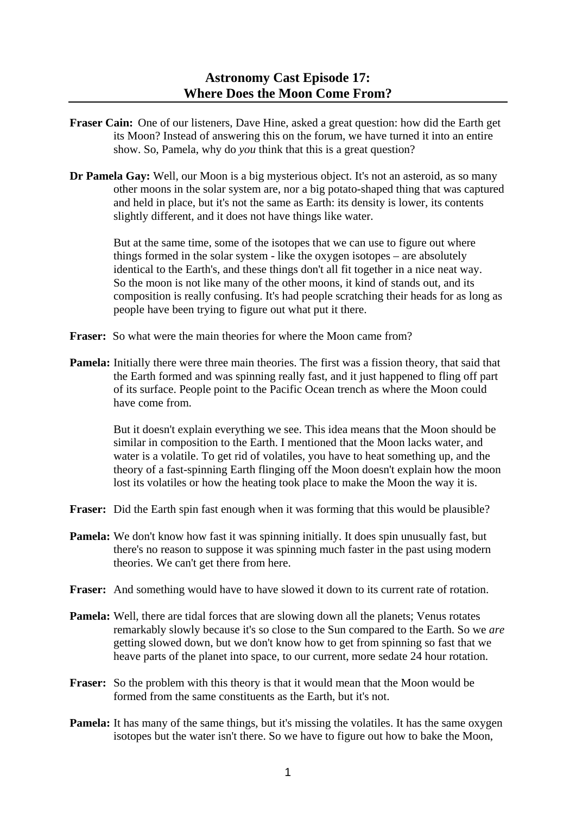- **Fraser Cain:** One of our listeners, Dave Hine, asked a great question: how did the Earth get its Moon? Instead of answering this on the forum, we have turned it into an entire show. So, Pamela, why do *you* think that this is a great question?
- **Dr Pamela Gay:** Well, our Moon is a big mysterious object. It's not an asteroid, as so many other moons in the solar system are, nor a big potato-shaped thing that was captured and held in place, but it's not the same as Earth: its density is lower, its contents slightly different, and it does not have things like water.

 But at the same time, some of the isotopes that we can use to figure out where things formed in the solar system - like the oxygen isotopes – are absolutely identical to the Earth's, and these things don't all fit together in a nice neat way. So the moon is not like many of the other moons, it kind of stands out, and its composition is really confusing. It's had people scratching their heads for as long as people have been trying to figure out what put it there.

- **Fraser:** So what were the main theories for where the Moon came from?
- **Pamela:** Initially there were three main theories. The first was a fission theory, that said that the Earth formed and was spinning really fast, and it just happened to fling off part of its surface. People point to the Pacific Ocean trench as where the Moon could have come from.

 But it doesn't explain everything we see. This idea means that the Moon should be similar in composition to the Earth. I mentioned that the Moon lacks water, and water is a volatile. To get rid of volatiles, you have to heat something up, and the theory of a fast-spinning Earth flinging off the Moon doesn't explain how the moon lost its volatiles or how the heating took place to make the Moon the way it is.

- **Fraser:** Did the Earth spin fast enough when it was forming that this would be plausible?
- **Pamela:** We don't know how fast it was spinning initially. It does spin unusually fast, but there's no reason to suppose it was spinning much faster in the past using modern theories. We can't get there from here.
- **Fraser:** And something would have to have slowed it down to its current rate of rotation.
- **Pamela:** Well, there are tidal forces that are slowing down all the planets; Venus rotates remarkably slowly because it's so close to the Sun compared to the Earth. So we *are* getting slowed down, but we don't know how to get from spinning so fast that we heave parts of the planet into space, to our current, more sedate 24 hour rotation.
- **Fraser:** So the problem with this theory is that it would mean that the Moon would be formed from the same constituents as the Earth, but it's not.
- **Pamela:** It has many of the same things, but it's missing the volatiles. It has the same oxygen isotopes but the water isn't there. So we have to figure out how to bake the Moon,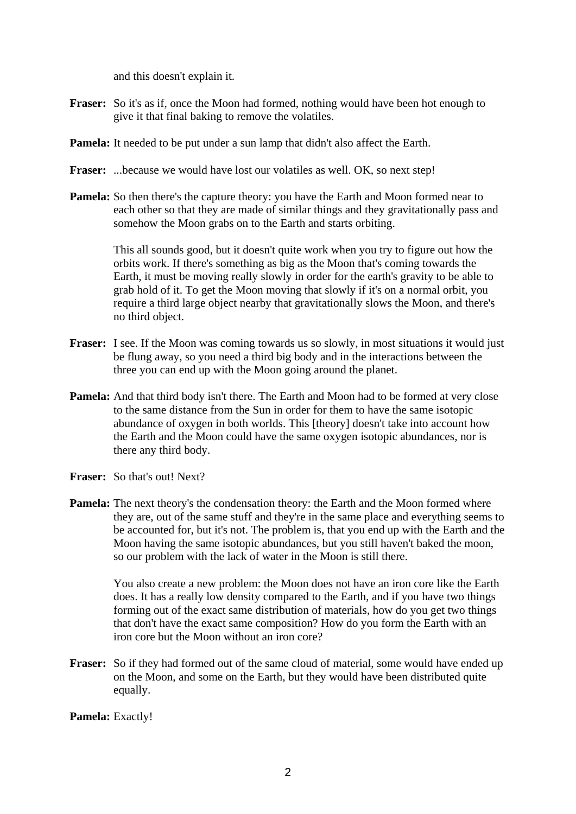and this doesn't explain it.

- **Fraser:** So it's as if, once the Moon had formed, nothing would have been hot enough to give it that final baking to remove the volatiles.
- **Pamela:** It needed to be put under a sun lamp that didn't also affect the Earth.
- Fraser: ...because we would have lost our volatiles as well. OK, so next step!
- **Pamela:** So then there's the capture theory: you have the Earth and Moon formed near to each other so that they are made of similar things and they gravitationally pass and somehow the Moon grabs on to the Earth and starts orbiting.

 This all sounds good, but it doesn't quite work when you try to figure out how the orbits work. If there's something as big as the Moon that's coming towards the Earth, it must be moving really slowly in order for the earth's gravity to be able to grab hold of it. To get the Moon moving that slowly if it's on a normal orbit, you require a third large object nearby that gravitationally slows the Moon, and there's no third object.

- **Fraser:** I see. If the Moon was coming towards us so slowly, in most situations it would just be flung away, so you need a third big body and in the interactions between the three you can end up with the Moon going around the planet.
- **Pamela:** And that third body isn't there. The Earth and Moon had to be formed at very close to the same distance from the Sun in order for them to have the same isotopic abundance of oxygen in both worlds. This [theory] doesn't take into account how the Earth and the Moon could have the same oxygen isotopic abundances, nor is there any third body.
- **Fraser:** So that's out! Next?
- Pamela: The next theory's the condensation theory: the Earth and the Moon formed where they are, out of the same stuff and they're in the same place and everything seems to be accounted for, but it's not. The problem is, that you end up with the Earth and the Moon having the same isotopic abundances, but you still haven't baked the moon, so our problem with the lack of water in the Moon is still there.

 You also create a new problem: the Moon does not have an iron core like the Earth does. It has a really low density compared to the Earth, and if you have two things forming out of the exact same distribution of materials, how do you get two things that don't have the exact same composition? How do you form the Earth with an iron core but the Moon without an iron core?

**Fraser:** So if they had formed out of the same cloud of material, some would have ended up on the Moon, and some on the Earth, but they would have been distributed quite equally.

Pamela: Exactly!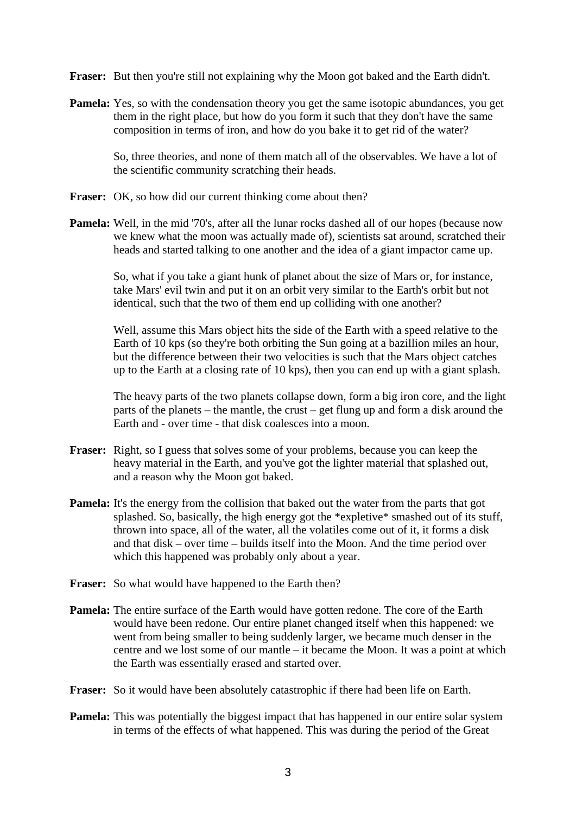**Fraser:** But then you're still not explaining why the Moon got baked and the Earth didn't.

**Pamela:** Yes, so with the condensation theory you get the same isotopic abundances, you get them in the right place, but how do you form it such that they don't have the same composition in terms of iron, and how do you bake it to get rid of the water?

 So, three theories, and none of them match all of the observables. We have a lot of the scientific community scratching their heads.

- **Fraser:** OK, so how did our current thinking come about then?
- **Pamela:** Well, in the mid '70's, after all the lunar rocks dashed all of our hopes (because now we knew what the moon was actually made of), scientists sat around, scratched their heads and started talking to one another and the idea of a giant impactor came up.

 So, what if you take a giant hunk of planet about the size of Mars or, for instance, take Mars' evil twin and put it on an orbit very similar to the Earth's orbit but not identical, such that the two of them end up colliding with one another?

 Well, assume this Mars object hits the side of the Earth with a speed relative to the Earth of 10 kps (so they're both orbiting the Sun going at a bazillion miles an hour, but the difference between their two velocities is such that the Mars object catches up to the Earth at a closing rate of 10 kps), then you can end up with a giant splash.

 The heavy parts of the two planets collapse down, form a big iron core, and the light parts of the planets – the mantle, the crust – get flung up and form a disk around the Earth and - over time - that disk coalesces into a moon.

- **Fraser:** Right, so I guess that solves some of your problems, because you can keep the heavy material in the Earth, and you've got the lighter material that splashed out, and a reason why the Moon got baked.
- **Pamela:** It's the energy from the collision that baked out the water from the parts that got splashed. So, basically, the high energy got the \*expletive\* smashed out of its stuff, thrown into space, all of the water, all the volatiles come out of it, it forms a disk and that disk – over time – builds itself into the Moon. And the time period over which this happened was probably only about a year.
- **Fraser:** So what would have happened to the Earth then?
- **Pamela:** The entire surface of the Earth would have gotten redone. The core of the Earth would have been redone. Our entire planet changed itself when this happened: we went from being smaller to being suddenly larger, we became much denser in the centre and we lost some of our mantle – it became the Moon. It was a point at which the Earth was essentially erased and started over.
- **Fraser:** So it would have been absolutely catastrophic if there had been life on Earth.
- **Pamela:** This was potentially the biggest impact that has happened in our entire solar system in terms of the effects of what happened. This was during the period of the Great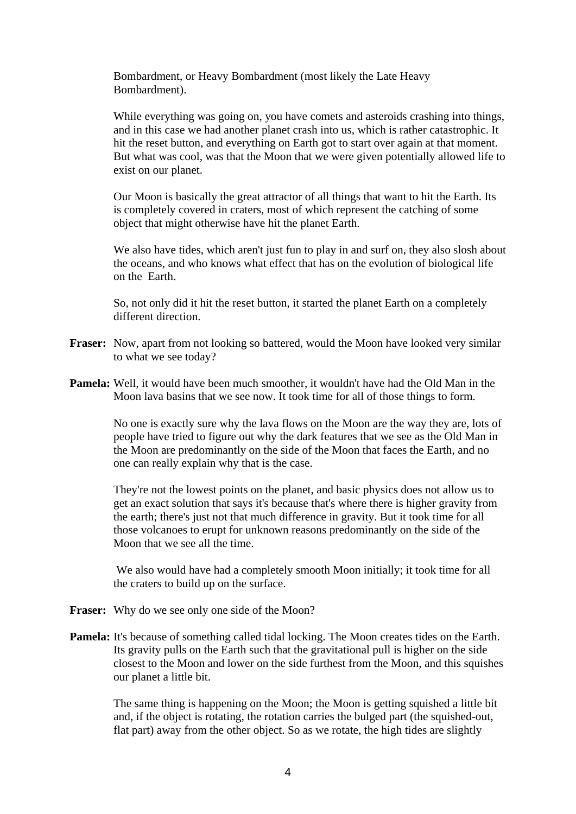Bombardment, or Heavy Bombardment (most likely the Late Heavy Bombardment).

 While everything was going on, you have comets and asteroids crashing into things, and in this case we had another planet crash into us, which is rather catastrophic. It hit the reset button, and everything on Earth got to start over again at that moment. But what was cool, was that the Moon that we were given potentially allowed life to exist on our planet.

 Our Moon is basically the great attractor of all things that want to hit the Earth. Its is completely covered in craters, most of which represent the catching of some object that might otherwise have hit the planet Earth.

We also have tides, which aren't just fun to play in and surf on, they also slosh about the oceans, and who knows what effect that has on the evolution of biological life on the Earth.

 So, not only did it hit the reset button, it started the planet Earth on a completely different direction.

- **Fraser:** Now, apart from not looking so battered, would the Moon have looked very similar to what we see today?
- **Pamela:** Well, it would have been much smoother, it wouldn't have had the Old Man in the Moon lava basins that we see now. It took time for all of those things to form.

 No one is exactly sure why the lava flows on the Moon are the way they are, lots of people have tried to figure out why the dark features that we see as the Old Man in the Moon are predominantly on the side of the Moon that faces the Earth, and no one can really explain why that is the case.

 They're not the lowest points on the planet, and basic physics does not allow us to get an exact solution that says it's because that's where there is higher gravity from the earth; there's just not that much difference in gravity. But it took time for all those volcanoes to erupt for unknown reasons predominantly on the side of the Moon that we see all the time.

 We also would have had a completely smooth Moon initially; it took time for all the craters to build up on the surface.

- **Fraser:** Why do we see only one side of the Moon?
- **Pamela:** It's because of something called tidal locking. The Moon creates tides on the Earth. Its gravity pulls on the Earth such that the gravitational pull is higher on the side closest to the Moon and lower on the side furthest from the Moon, and this squishes our planet a little bit.

 The same thing is happening on the Moon; the Moon is getting squished a little bit and, if the object is rotating, the rotation carries the bulged part (the squished-out, flat part) away from the other object. So as we rotate, the high tides are slightly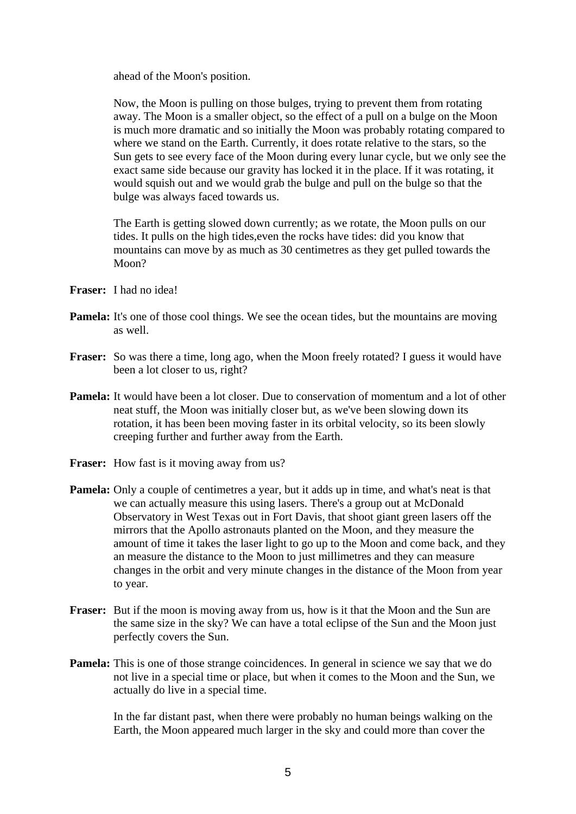ahead of the Moon's position.

 Now, the Moon is pulling on those bulges, trying to prevent them from rotating away. The Moon is a smaller object, so the effect of a pull on a bulge on the Moon is much more dramatic and so initially the Moon was probably rotating compared to where we stand on the Earth. Currently, it does rotate relative to the stars, so the Sun gets to see every face of the Moon during every lunar cycle, but we only see the exact same side because our gravity has locked it in the place. If it was rotating, it would squish out and we would grab the bulge and pull on the bulge so that the bulge was always faced towards us.

 The Earth is getting slowed down currently; as we rotate, the Moon pulls on our tides. It pulls on the high tides,even the rocks have tides: did you know that mountains can move by as much as 30 centimetres as they get pulled towards the Moon?

- **Fraser:** I had no idea!
- **Pamela:** It's one of those cool things. We see the ocean tides, but the mountains are moving as well.
- **Fraser:** So was there a time, long ago, when the Moon freely rotated? I guess it would have been a lot closer to us, right?
- **Pamela:** It would have been a lot closer. Due to conservation of momentum and a lot of other neat stuff, the Moon was initially closer but, as we've been slowing down its rotation, it has been been moving faster in its orbital velocity, so its been slowly creeping further and further away from the Earth.
- **Fraser:** How fast is it moving away from us?
- **Pamela:** Only a couple of centimetres a year, but it adds up in time, and what's neat is that we can actually measure this using lasers. There's a group out at McDonald Observatory in West Texas out in Fort Davis, that shoot giant green lasers off the mirrors that the Apollo astronauts planted on the Moon, and they measure the amount of time it takes the laser light to go up to the Moon and come back, and they an measure the distance to the Moon to just millimetres and they can measure changes in the orbit and very minute changes in the distance of the Moon from year to year.
- **Fraser:** But if the moon is moving away from us, how is it that the Moon and the Sun are the same size in the sky? We can have a total eclipse of the Sun and the Moon just perfectly covers the Sun.
- **Pamela:** This is one of those strange coincidences. In general in science we say that we do not live in a special time or place, but when it comes to the Moon and the Sun, we actually do live in a special time.

 In the far distant past, when there were probably no human beings walking on the Earth, the Moon appeared much larger in the sky and could more than cover the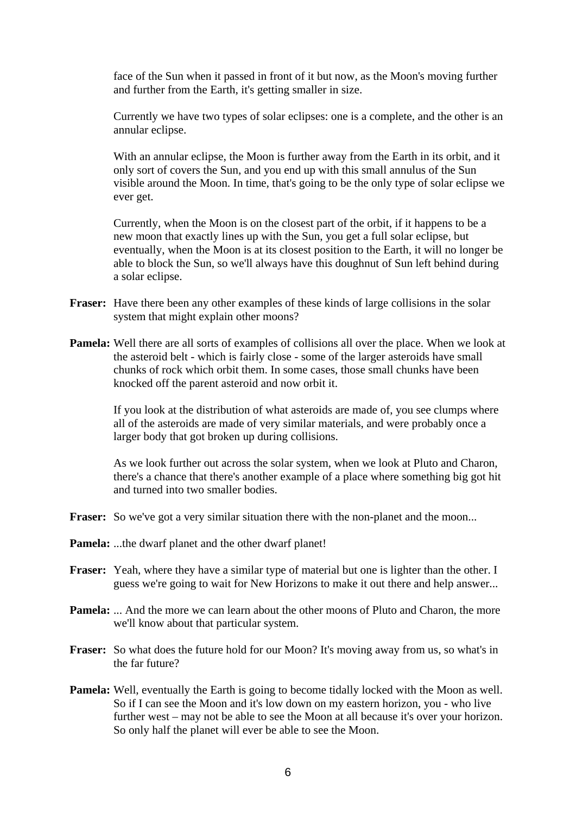face of the Sun when it passed in front of it but now, as the Moon's moving further and further from the Earth, it's getting smaller in size.

 Currently we have two types of solar eclipses: one is a complete, and the other is an annular eclipse.

 With an annular eclipse, the Moon is further away from the Earth in its orbit, and it only sort of covers the Sun, and you end up with this small annulus of the Sun visible around the Moon. In time, that's going to be the only type of solar eclipse we ever get.

 Currently, when the Moon is on the closest part of the orbit, if it happens to be a new moon that exactly lines up with the Sun, you get a full solar eclipse, but eventually, when the Moon is at its closest position to the Earth, it will no longer be able to block the Sun, so we'll always have this doughnut of Sun left behind during a solar eclipse.

- **Fraser:** Have there been any other examples of these kinds of large collisions in the solar system that might explain other moons?
- **Pamela:** Well there are all sorts of examples of collisions all over the place. When we look at the asteroid belt - which is fairly close - some of the larger asteroids have small chunks of rock which orbit them. In some cases, those small chunks have been knocked off the parent asteroid and now orbit it.

 If you look at the distribution of what asteroids are made of, you see clumps where all of the asteroids are made of very similar materials, and were probably once a larger body that got broken up during collisions.

 As we look further out across the solar system, when we look at Pluto and Charon, there's a chance that there's another example of a place where something big got hit and turned into two smaller bodies.

- **Fraser:** So we've got a very similar situation there with the non-planet and the moon...
- **Pamela:** ...the dwarf planet and the other dwarf planet!
- **Fraser:** Yeah, where they have a similar type of material but one is lighter than the other. I guess we're going to wait for New Horizons to make it out there and help answer...
- **Pamela:** ... And the more we can learn about the other moons of Pluto and Charon, the more we'll know about that particular system.
- **Fraser:** So what does the future hold for our Moon? It's moving away from us, so what's in the far future?
- **Pamela:** Well, eventually the Earth is going to become tidally locked with the Moon as well. So if I can see the Moon and it's low down on my eastern horizon, you - who live further west – may not be able to see the Moon at all because it's over your horizon. So only half the planet will ever be able to see the Moon.